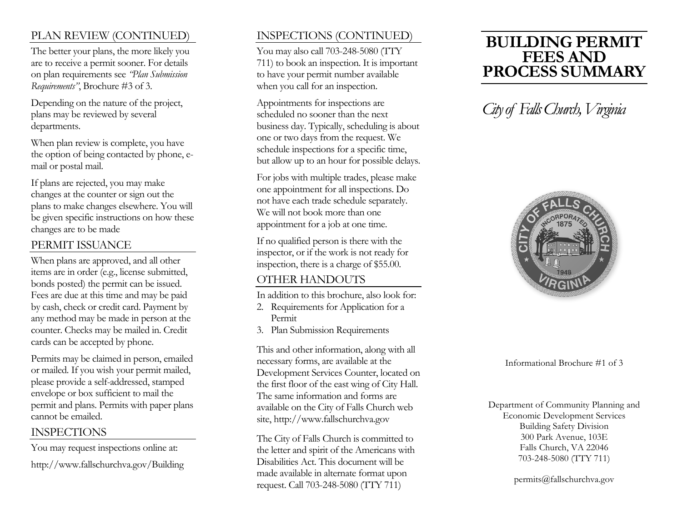## PLAN REVIEW (CONTINUED)

The better your plans, the more likely you are to receive a permit sooner. For details on plan requirements see *"Plan Submission Requirements"*, Brochure #3 of 3.

Depending on the nature of the project, plans may be reviewed by several departments.

When plan review is complete, you have the option of being contacted by phone, email or postal mail.

If plans are rejected, you may make changes at the counter or sign out the plans to make changes elsewhere. You will be given specific instructions on how these changes are to be made

### PERMIT ISSUANCE

When plans are approved, and all other items are in order (e.g., license submitted, bonds posted) the permit can be issued. Fees are due at this time and may be paid by cash, check or credit card. Payment by any method may be made in person at the counter. Checks may be mailed in. Credit cards can be accepted by phone.

Permits may be claimed in person, emailed or mailed. If you wish your permit mailed, please provide a self-addressed, stamped envelope or box sufficient to mail the permit and plans. Permits with paper plans cannot be emailed.

## INSPECTIONS

You may request inspections online at: http://www.fallschurchva.gov/Building

## INSPECTIONS (CONTINUED)

You may also call 703-248-5080 (TTY 711) to book an inspection. It is important to have your permit number available when you call for an inspection.

Appointments for inspections are scheduled no sooner than the next business day. Typically, scheduling is about one or two days from the request. We schedule inspections for a specific time, but allow up to an hour for possible delays.

For jobs with multiple trades, please make one appointment for all inspections. Do not have each trade schedule separately. We will not book more than one appointment for a job at one time.

If no qualified person is there with the inspector, or if the work is not ready for inspection, there is a charge of \$55.00.

### OTHER HANDOUTS

In addition to this brochure, also look for:

- 2. Requirements for Application for a Permit
- 3. Plan Submission Requirements

This and other information, along with all necessary forms, are available at the Development Services Counter, located on the first floor of the east wing of City Hall. The same information and forms are available on the City of Falls Church web site, http://www.fallschurchva.gov

The City of Falls Church is committed to the letter and spirit of the Americans with Disabilities Act. This document will be made available in alternate format upon request. Call 703-248-5080 (TTY 711)

# **BUILDING PERMIT FEES AND PROCESS SUMMARY**

# *City of Falls Church, Virginia*



Informational Brochure #1 of 3

Department of Community Planning and Economic Development Services Building Safety Division 300 Park Avenue, 103E Falls Church, VA 22046 703-248-5080 (TTY 711)

permits@fallschurchva.gov